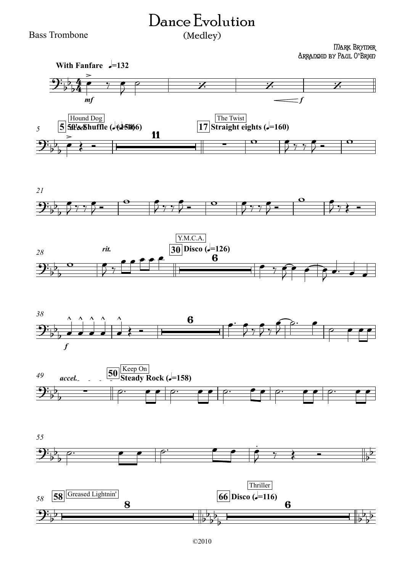## Dance Evolution (Medley)

Bass Trombone

Mark Brymer Arranged by Paul O**'**Brien















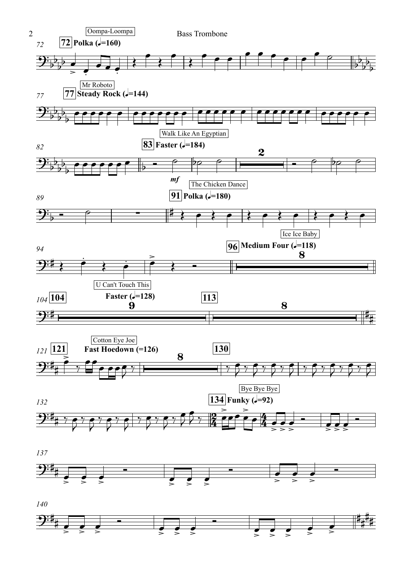